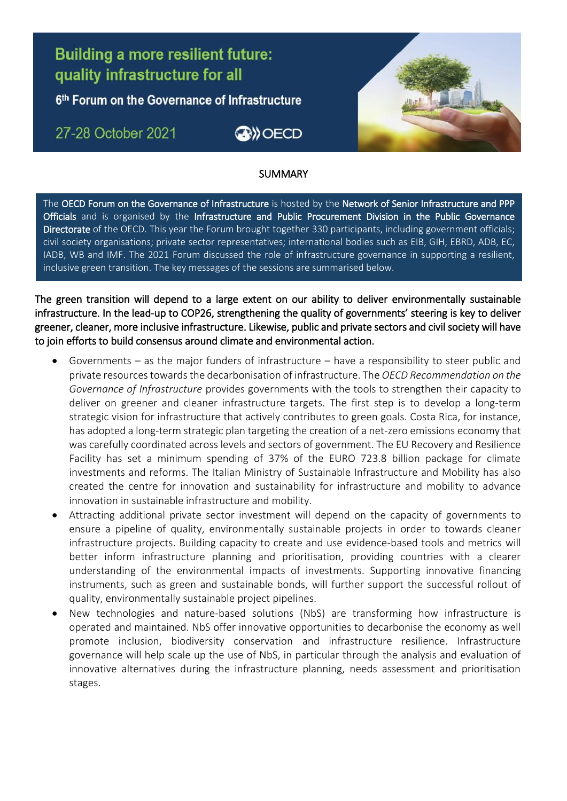# **Building a more resilient future:** quality infrastructure for all

6<sup>th</sup> Forum on the Governance of Infrastructure

## 27-28 October 2021

Ī





### **SUMMARY** L

The OECD Forum on the Governance of Infrastructure is hosted by the Network of Senior Infrastructure and PPP civil society organisations; private sector representatives; international bodies such as EIB, GIH, EBRD, ADB, EC, inclusive green transition. The key messages of the sessions are summarised below.Officials and is organised by the Infrastructure and Public Procurement Division in the Public Governance Directorate of the OECD. This year the Forum brought together 330 participants, including government officials; IADB, WB and IMF. The 2021 Forum discussed the role of infrastructure governance in supporting a resilient,

The green transition will depend to a large extent on our ability to deliver environmentally sustainable infrastructure. In the lead-up to COP26, strengthening the quality of governments' steering is key to deliver greener, cleaner, more inclusive infrastructure. Likewise, public and private sectors and civil society will have to join efforts to build consensus around climate and environmental action.

- Governments as the major funders of infrastructure have a responsibility to steer public and private resources towards the decarbonisation of infrastructure. The *OECD Recommendation on the Governance of Infrastructure* provides governments with the tools to strengthen their capacity to deliver on greener and cleaner infrastructure targets. The first step is to develop a long-term strategic vision for infrastructure that actively contributes to green goals. Costa Rica, for instance, has adopted a long-term strategic plan targeting the creation of a net-zero emissions economy that was carefully coordinated across levels and sectors of government. The EU Recovery and Resilience Facility has set a minimum spending of 37% of the EURO 723.8 billion package for climate investments and reforms. The Italian Ministry of Sustainable Infrastructure and Mobility has also created the centre for innovation and sustainability for infrastructure and mobility to advance innovation in sustainable infrastructure and mobility.
- Attracting additional private sector investment will depend on the capacity of governments to ensure a pipeline of quality, environmentally sustainable projects in order to towards cleaner infrastructure projects. Building capacity to create and use evidence-based tools and metrics will better inform infrastructure planning and prioritisation, providing countries with a clearer understanding of the environmental impacts of investments. Supporting innovative financing instruments, such as green and sustainable bonds, will further support the successful rollout of quality, environmentally sustainable project pipelines.
- New technologies and nature-based solutions (NbS) are transforming how infrastructure is operated and maintained. NbS offer innovative opportunities to decarbonise the economy as well promote inclusion, biodiversity conservation and infrastructure resilience. Infrastructure governance will help scale up the use of NbS, in particular through the analysis and evaluation of innovative alternatives during the infrastructure planning, needs assessment and prioritisation stages.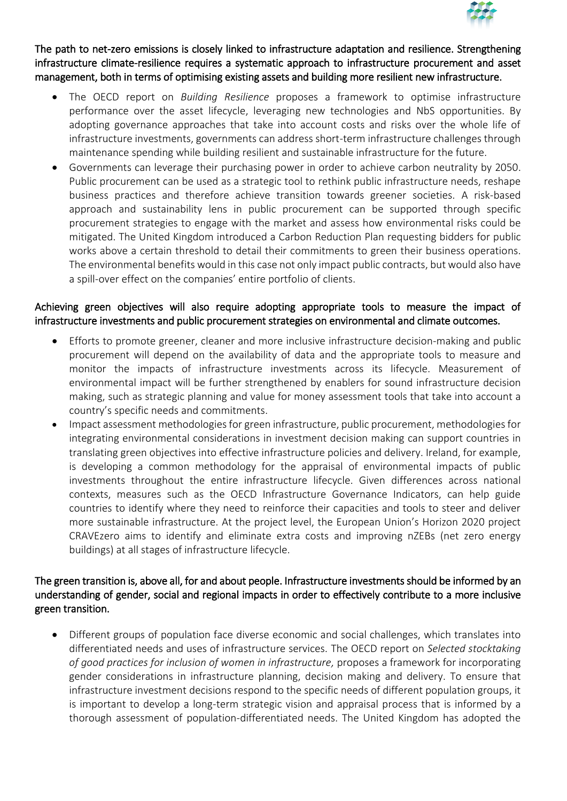

The path to net-zero emissions is closely linked to infrastructure adaptation and resilience. Strengthening infrastructure climate-resilience requires a systematic approach to infrastructure procurement and asset management, both in terms of optimising existing assets and building more resilient new infrastructure.

- The OECD report on *Building Resilience* proposes a framework to optimise infrastructure performance over the asset lifecycle, leveraging new technologies and NbS opportunities. By adopting governance approaches that take into account costs and risks over the whole life of infrastructure investments, governments can address short-term infrastructure challenges through maintenance spending while building resilient and sustainable infrastructure for the future.
- Governments can leverage their purchasing power in order to achieve carbon neutrality by 2050. Public procurement can be used as a strategic tool to rethink public infrastructure needs, reshape business practices and therefore achieve transition towards greener societies. A risk-based approach and sustainability lens in public procurement can be supported through specific procurement strategies to engage with the market and assess how environmental risks could be mitigated. The United Kingdom introduced a Carbon Reduction Plan requesting bidders for public works above a certain threshold to detail their commitments to green their business operations. The environmental benefits would in this case not only impact public contracts, but would also have a spill-over effect on the companies' entire portfolio of clients.

#### Achieving green objectives will also require adopting appropriate tools to measure the impact of infrastructure investments and public procurement strategies on environmental and climate outcomes.

- Efforts to promote greener, cleaner and more inclusive infrastructure decision-making and public procurement will depend on the availability of data and the appropriate tools to measure and monitor the impacts of infrastructure investments across its lifecycle. Measurement of environmental impact will be further strengthened by enablers for sound infrastructure decision making, such as strategic planning and value for money assessment tools that take into account a country's specific needs and commitments.
- Impact assessment methodologies for green infrastructure, public procurement, methodologies for integrating environmental considerations in investment decision making can support countries in translating green objectives into effective infrastructure policies and delivery. Ireland, for example, is developing a common methodology for the appraisal of environmental impacts of public investments throughout the entire infrastructure lifecycle. Given differences across national contexts, measures such as the OECD Infrastructure Governance Indicators, can help guide countries to identify where they need to reinforce their capacities and tools to steer and deliver more sustainable infrastructure. At the project level, the European Union's Horizon 2020 project CRAVEzero aims to identify and eliminate extra costs and improving nZEBs (net zero energy buildings) at all stages of infrastructure lifecycle.

#### The green transition is, above all, for and about people. Infrastructure investments should be informed by an understanding of gender, social and regional impacts in order to effectively contribute to a more inclusive green transition.

 Different groups of population face diverse economic and social challenges, which translates into differentiated needs and uses of infrastructure services. The OECD report on *Selected stocktaking of good practices for inclusion of women in infrastructure,* proposes a framework for incorporating gender considerations in infrastructure planning, decision making and delivery. To ensure that infrastructure investment decisions respond to the specific needs of different population groups, it is important to develop a long-term strategic vision and appraisal process that is informed by a thorough assessment of population-differentiated needs. The United Kingdom has adopted the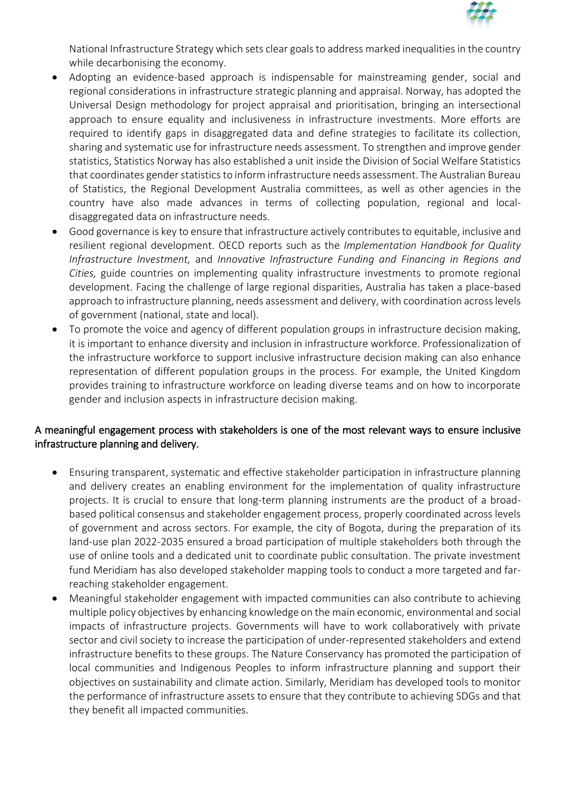

National Infrastructure Strategy which sets clear goals to address marked inequalities in the country while decarbonising the economy.

- Adopting an evidence-based approach is indispensable for mainstreaming gender, social and regional considerations in infrastructure strategic planning and appraisal. Norway, has adopted the Universal Design methodology for project appraisal and prioritisation, bringing an intersectional approach to ensure equality and inclusiveness in infrastructure investments. More efforts are required to identify gaps in disaggregated data and define strategies to facilitate its collection, sharing and systematic use for infrastructure needs assessment. To strengthen and improve gender statistics, Statistics Norway has also established a unit inside the Division of Social Welfare Statistics that coordinates gender statistics to inform infrastructure needs assessment. The Australian Bureau of Statistics, the Regional Development Australia committees, as well as other agencies in the country have also made advances in terms of collecting population, regional and localdisaggregated data on infrastructure needs.
- Good governance is key to ensure that infrastructure actively contributes to equitable, inclusive and resilient regional development. OECD reports such as the *Implementation Handbook for Quality Infrastructure Investment,* and *Innovative Infrastructure Funding and Financing in Regions and Cities,* guide countries on implementing quality infrastructure investments to promote regional development. Facing the challenge of large regional disparities, Australia has taken a place-based approach to infrastructure planning, needs assessment and delivery, with coordination across levels of government (national, state and local).
- To promote the voice and agency of different population groups in infrastructure decision making, it is important to enhance diversity and inclusion in infrastructure workforce. Professionalization of the infrastructure workforce to support inclusive infrastructure decision making can also enhance representation of different population groups in the process. For example, the United Kingdom provides training to infrastructure workforce on leading diverse teams and on how to incorporate gender and inclusion aspects in infrastructure decision making.

#### A meaningful engagement process with stakeholders is one of the most relevant ways to ensure inclusive infrastructure planning and delivery.

- Ensuring transparent, systematic and effective stakeholder participation in infrastructure planning and delivery creates an enabling environment for the implementation of quality infrastructure projects. It is crucial to ensure that long-term planning instruments are the product of a broadbased political consensus and stakeholder engagement process, properly coordinated across levels of government and across sectors. For example, the city of Bogota, during the preparation of its land-use plan 2022-2035 ensured a broad participation of multiple stakeholders both through the use of online tools and a dedicated unit to coordinate public consultation. The private investment fund Meridiam has also developed stakeholder mapping tools to conduct a more targeted and farreaching stakeholder engagement.
- Meaningful stakeholder engagement with impacted communities can also contribute to achieving multiple policy objectives by enhancing knowledge on the main economic, environmental and social impacts of infrastructure projects. Governments will have to work collaboratively with private sector and civil society to increase the participation of under-represented stakeholders and extend infrastructure benefits to these groups. The Nature Conservancy has promoted the participation of local communities and Indigenous Peoples to inform infrastructure planning and support their objectives on sustainability and climate action. Similarly, Meridiam has developed tools to monitor the performance of infrastructure assets to ensure that they contribute to achieving SDGs and that they benefit all impacted communities.